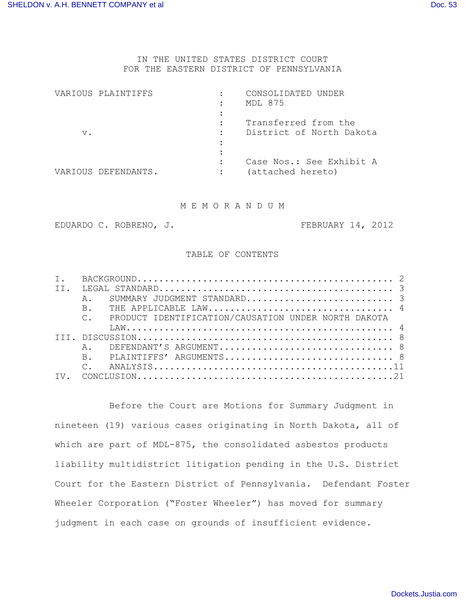IN THE UNITED STATES DISTRICT COURT FOR THE EASTERN DISTRICT OF PENNSYLVANIA

|    | VARIOUS PLAINTIFFS  |                      | CONSOLIDATED UNDER       |
|----|---------------------|----------------------|--------------------------|
|    |                     |                      | MDL 875                  |
|    |                     |                      |                          |
|    |                     |                      | Transferred from the     |
| v. |                     | $\ddot{\phantom{a}}$ | District of North Dakota |
|    |                     |                      |                          |
|    |                     |                      |                          |
|    |                     |                      | Case Nos.: See Exhibit A |
|    | VARIOUS DEFENDANTS. |                      | (attached hereto)        |

## M E M O R A N D U M

EDUARDO C. ROBRENO, J. FEBRUARY 14, 2012

#### TABLE OF CONTENTS

| $T_{\perp}$ |                                                                        |  |
|-------------|------------------------------------------------------------------------|--|
| TT.         |                                                                        |  |
|             | $\Delta$                                                               |  |
|             | THE APPLICABLE LAW 4<br>$B_{\perp}$                                    |  |
|             | PRODUCT IDENTIFICATION/CAUSATION UNDER NORTH DAKOTA<br>$\mathcal{C}$ . |  |
|             |                                                                        |  |
|             |                                                                        |  |
|             |                                                                        |  |
|             |                                                                        |  |
|             |                                                                        |  |
|             |                                                                        |  |

Before the Court are Motions for Summary Judgment in nineteen (19) various cases originating in North Dakota, all of which are part of MDL-875, the consolidated asbestos products liability multidistrict litigation pending in the U.S. District Court for the Eastern District of Pennsylvania. Defendant Foster Wheeler Corporation ("Foster Wheeler") has moved for summary judgment in each case on grounds of insufficient evidence.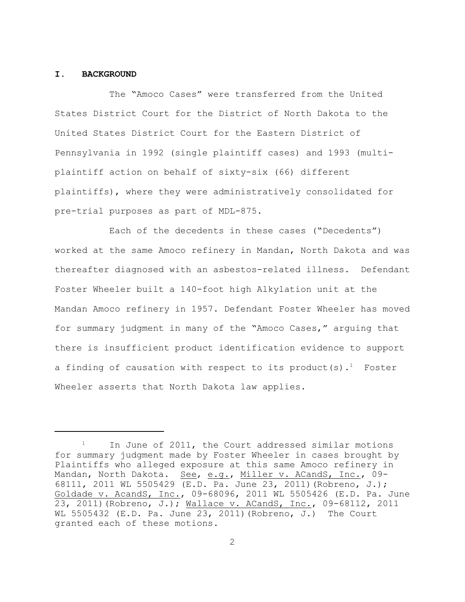#### **I. BACKGROUND**

The "Amoco Cases" were transferred from the United States District Court for the District of North Dakota to the United States District Court for the Eastern District of Pennsylvania in 1992 (single plaintiff cases) and 1993 (multiplaintiff action on behalf of sixty-six (66) different plaintiffs), where they were administratively consolidated for pre-trial purposes as part of MDL-875.

Each of the decedents in these cases ("Decedents") worked at the same Amoco refinery in Mandan, North Dakota and was thereafter diagnosed with an asbestos-related illness. Defendant Foster Wheeler built a 140-foot high Alkylation unit at the Mandan Amoco refinery in 1957. Defendant Foster Wheeler has moved for summary judgment in many of the "Amoco Cases," arguing that there is insufficient product identification evidence to support a finding of causation with respect to its product(s).<sup>1</sup> Foster Wheeler asserts that North Dakota law applies.

 $1$  In June of 2011, the Court addressed similar motions for summary judgment made by Foster Wheeler in cases brought by Plaintiffs who alleged exposure at this same Amoco refinery in Mandan, North Dakota. See, e.g., Miller v. ACandS, Inc., 09- 68111, 2011 WL 5505429 (E.D. Pa. June 23, 2011)(Robreno, J.); Goldade v. AcandS, Inc., 09-68096, 2011 WL 5505426 (E.D. Pa. June 23, 2011)(Robreno, J.); Wallace v. ACandS, Inc., 09-68112, 2011 WL 5505432 (E.D. Pa. June 23, 2011)(Robreno, J.) The Court granted each of these motions.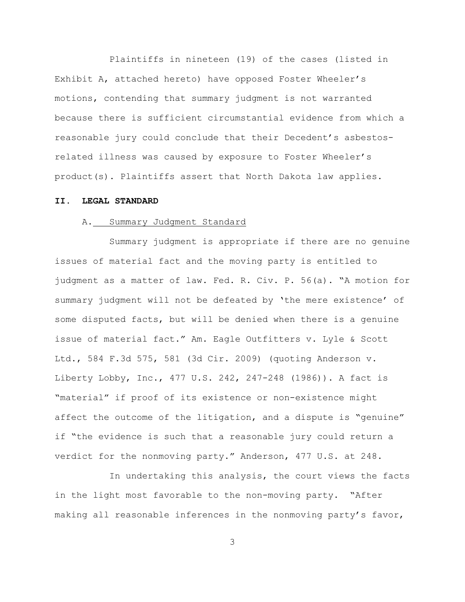Plaintiffs in nineteen (19) of the cases (listed in Exhibit A, attached hereto) have opposed Foster Wheeler's motions, contending that summary judgment is not warranted because there is sufficient circumstantial evidence from which a reasonable jury could conclude that their Decedent's asbestosrelated illness was caused by exposure to Foster Wheeler's product(s). Plaintiffs assert that North Dakota law applies.

## **II. LEGAL STANDARD**

## A. Summary Judgment Standard

Summary judgment is appropriate if there are no genuine issues of material fact and the moving party is entitled to judgment as a matter of law. Fed. R. Civ. P. 56(a). "A motion for summary judgment will not be defeated by 'the mere existence' of some disputed facts, but will be denied when there is a genuine issue of material fact." Am. Eagle Outfitters v. Lyle & Scott Ltd., 584 F.3d 575, 581 (3d Cir. 2009) (quoting Anderson v. Liberty Lobby, Inc., 477 U.S. 242, 247-248 (1986)). A fact is "material" if proof of its existence or non-existence might affect the outcome of the litigation, and a dispute is "genuine" if "the evidence is such that a reasonable jury could return a verdict for the nonmoving party." Anderson, 477 U.S. at 248.

In undertaking this analysis, the court views the facts in the light most favorable to the non-moving party. "After making all reasonable inferences in the nonmoving party's favor,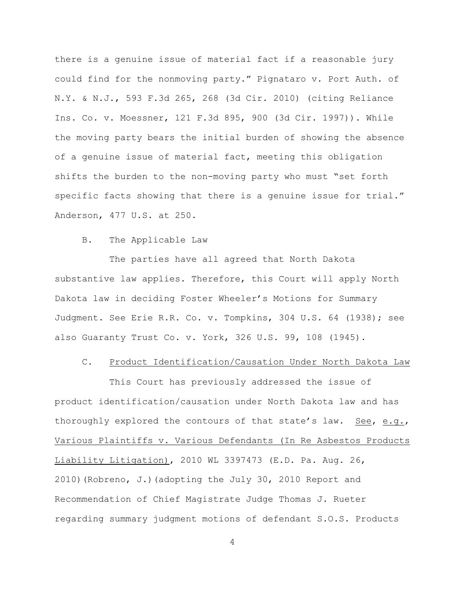there is a genuine issue of material fact if a reasonable jury could find for the nonmoving party." Pignataro v. Port Auth. of N.Y. & N.J., 593 F.3d 265, 268 (3d Cir. 2010) (citing Reliance Ins. Co. v. Moessner, 121 F.3d 895, 900 (3d Cir. 1997)). While the moving party bears the initial burden of showing the absence of a genuine issue of material fact, meeting this obligation shifts the burden to the non-moving party who must "set forth specific facts showing that there is a genuine issue for trial." Anderson, 477 U.S. at 250.

## B. The Applicable Law

The parties have all agreed that North Dakota substantive law applies. Therefore, this Court will apply North Dakota law in deciding Foster Wheeler's Motions for Summary Judgment. See Erie R.R. Co. v. Tompkins, 304 U.S. 64 (1938); see also Guaranty Trust Co. v. York, 326 U.S. 99, 108 (1945).

## C. Product Identification/Causation Under North Dakota Law

This Court has previously addressed the issue of product identification/causation under North Dakota law and has thoroughly explored the contours of that state's law. See, e.g., Various Plaintiffs v. Various Defendants (In Re Asbestos Products Liability Litigation), 2010 WL 3397473 (E.D. Pa. Aug. 26, 2010)(Robreno, J.)(adopting the July 30, 2010 Report and Recommendation of Chief Magistrate Judge Thomas J. Rueter regarding summary judgment motions of defendant S.O.S. Products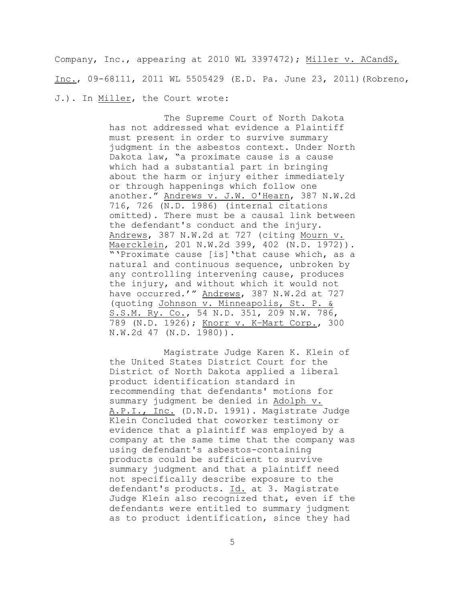Company, Inc., appearing at 2010 WL 3397472); Miller v. ACandS, Inc., 09-68111, 2011 WL 5505429 (E.D. Pa. June 23, 2011)(Robreno, J.). In Miller, the Court wrote:

> The Supreme Court of North Dakota has not addressed what evidence a Plaintiff must present in order to survive summary judgment in the asbestos context. Under North Dakota law, "a proximate cause is a cause which had a substantial part in bringing about the harm or injury either immediately or through happenings which follow one another." Andrews v. J.W. O'Hearn, 387 N.W.2d 716, 726 (N.D. 1986) (internal citations omitted). There must be a causal link between the defendant's conduct and the injury. Andrews, 387 N.W.2d at 727 (citing Mourn v. Maercklein, 201 N.W.2d 399, 402 (N.D. 1972)). "'Proximate cause [is]'that cause which, as a natural and continuous sequence, unbroken by any controlling intervening cause, produces the injury, and without which it would not have occurred.'" Andrews, 387 N.W.2d at 727 (quoting Johnson v. Minneapolis, St. P. & S.S.M. Ry. Co., 54 N.D. 351, 209 N.W. 786, 789 (N.D. 1926); Knorr v. K–Mart Corp., 300 N.W.2d 47 (N.D. 1980)).

> Magistrate Judge Karen K. Klein of the United States District Court for the District of North Dakota applied a liberal product identification standard in recommending that defendants' motions for summary judgment be denied in Adolph v. A.P.I., Inc. (D.N.D. 1991). Magistrate Judge Klein Concluded that coworker testimony or evidence that a plaintiff was employed by a company at the same time that the company was using defendant's asbestos-containing products could be sufficient to survive summary judgment and that a plaintiff need not specifically describe exposure to the defendant's products. Id. at 3. Magistrate Judge Klein also recognized that, even if the defendants were entitled to summary judgment as to product identification, since they had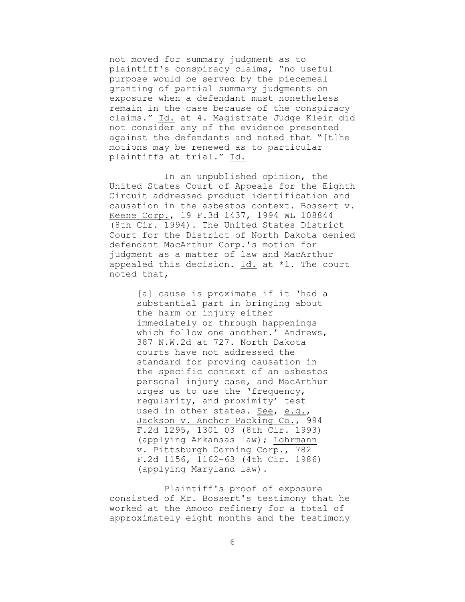not moved for summary judgment as to plaintiff's conspiracy claims, "no useful purpose would be served by the piecemeal granting of partial summary judgments on exposure when a defendant must nonetheless remain in the case because of the conspiracy claims." Id. at 4. Magistrate Judge Klein did not consider any of the evidence presented against the defendants and noted that "[t]he motions may be renewed as to particular plaintiffs at trial." Id.

In an unpublished opinion, the United States Court of Appeals for the Eighth Circuit addressed product identification and causation in the asbestos context. Bossert v. Keene Corp., 19 F.3d 1437, 1994 WL 108844 (8th Cir. 1994). The United States District Court for the District of North Dakota denied defendant MacArthur Corp.'s motion for judgment as a matter of law and MacArthur appealed this decision. Id. at \*1. The court noted that,

> [a] cause is proximate if it 'had a substantial part in bringing about the harm or injury either immediately or through happenings which follow one another.' Andrews, 387 N.W.2d at 727. North Dakota courts have not addressed the standard for proving causation in the specific context of an asbestos personal injury case, and MacArthur urges us to use the 'frequency, regularity, and proximity' test used in other states. See, e.g., Jackson v. Anchor Packing Co., 994 F.2d 1295, 1301–03 (8th Cir. 1993) (applying Arkansas law); Lohrmann v. Pittsburgh Corning Corp., 782 F.2d 1156, 1162–63 (4th Cir. 1986) (applying Maryland law).

Plaintiff's proof of exposure consisted of Mr. Bossert's testimony that he worked at the Amoco refinery for a total of approximately eight months and the testimony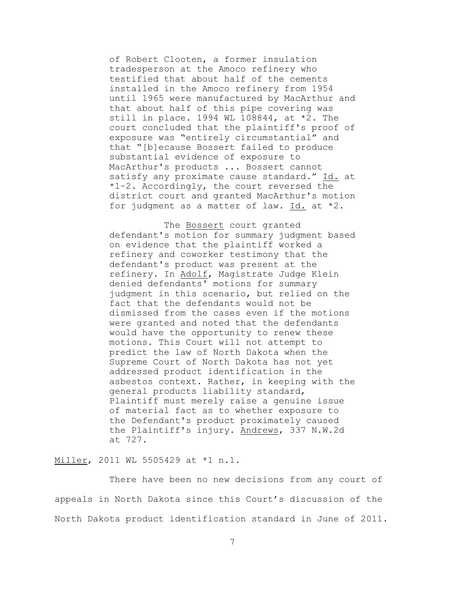of Robert Clooten, a former insulation tradesperson at the Amoco refinery who testified that about half of the cements installed in the Amoco refinery from 1954 until 1965 were manufactured by MacArthur and that about half of this pipe covering was still in place. 1994 WL 108844, at \*2. The court concluded that the plaintiff's proof of exposure was "entirely circumstantial" and that "[b]ecause Bossert failed to produce substantial evidence of exposure to MacArthur's products ... Bossert cannot satisfy any proximate cause standard." Id. at \*1–2. Accordingly, the court reversed the district court and granted MacArthur's motion for judgment as a matter of law. Id. at \*2.

The Bossert court granted defendant's motion for summary judgment based on evidence that the plaintiff worked a refinery and coworker testimony that the defendant's product was present at the refinery. In Adolf, Magistrate Judge Klein denied defendants' motions for summary judgment in this scenario, but relied on the fact that the defendants would not be dismissed from the cases even if the motions were granted and noted that the defendants would have the opportunity to renew these motions. This Court will not attempt to predict the law of North Dakota when the Supreme Court of North Dakota has not yet addressed product identification in the asbestos context. Rather, in keeping with the general products liability standard, Plaintiff must merely raise a genuine issue of material fact as to whether exposure to the Defendant's product proximately caused the Plaintiff's injury. Andrews, 337 N.W.2d at 727.

## Miller, 2011 WL 5505429 at \*1 n.1.

There have been no new decisions from any court of appeals in North Dakota since this Court's discussion of the North Dakota product identification standard in June of 2011.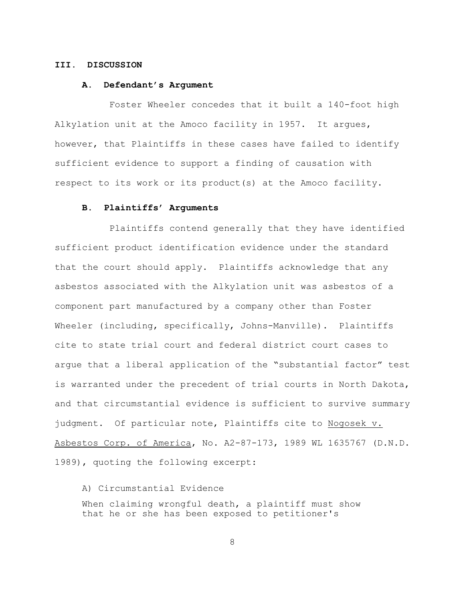## **III. DISCUSSION**

## **A. Defendant's Argument**

Foster Wheeler concedes that it built a 140-foot high Alkylation unit at the Amoco facility in 1957. It argues, however, that Plaintiffs in these cases have failed to identify sufficient evidence to support a finding of causation with respect to its work or its product(s) at the Amoco facility.

#### **B. Plaintiffs' Arguments**

Plaintiffs contend generally that they have identified sufficient product identification evidence under the standard that the court should apply. Plaintiffs acknowledge that any asbestos associated with the Alkylation unit was asbestos of a component part manufactured by a company other than Foster Wheeler (including, specifically, Johns-Manville). Plaintiffs cite to state trial court and federal district court cases to argue that a liberal application of the "substantial factor" test is warranted under the precedent of trial courts in North Dakota, and that circumstantial evidence is sufficient to survive summary judgment. Of particular note, Plaintiffs cite to Nogosek v. Asbestos Corp. of America, No. A2-87-173, 1989 WL 1635767 (D.N.D. 1989), quoting the following excerpt:

A) Circumstantial Evidence

When claiming wrongful death, a plaintiff must show that he or she has been exposed to petitioner's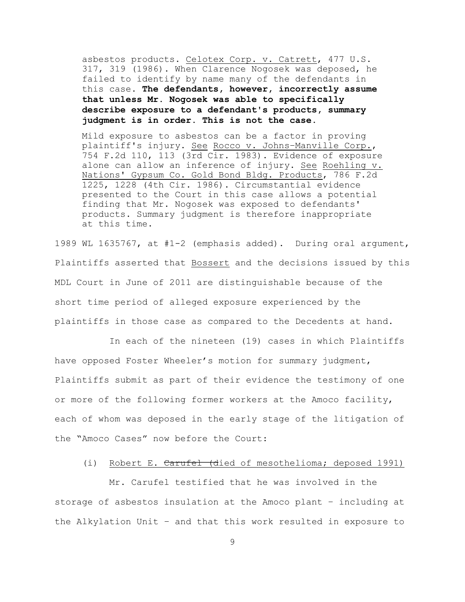asbestos products. Celotex Corp. v. Catrett, 477 U.S. 317, 319 (1986). When Clarence Nogosek was deposed, he failed to identify by name many of the defendants in this case. **The defendants, however, incorrectly assume that unless Mr. Nogosek was able to specifically describe exposure to a defendant's products, summary judgment is in order. This is not the case.**

Mild exposure to asbestos can be a factor in proving plaintiff's injury. See Rocco v. Johns–Manville Corp., 754 F.2d 110, 113 (3rd Cir. 1983). Evidence of exposure alone can allow an inference of injury. See Roehling v. Nations' Gypsum Co. Gold Bond Bldg. Products, 786 F.2d 1225, 1228 (4th Cir. 1986). Circumstantial evidence presented to the Court in this case allows a potential finding that Mr. Nogosek was exposed to defendants' products. Summary judgment is therefore inappropriate at this time.

1989 WL 1635767, at #1-2 (emphasis added). During oral argument, Plaintiffs asserted that Bossert and the decisions issued by this MDL Court in June of 2011 are distinguishable because of the short time period of alleged exposure experienced by the plaintiffs in those case as compared to the Decedents at hand.

In each of the nineteen (19) cases in which Plaintiffs have opposed Foster Wheeler's motion for summary judgment, Plaintiffs submit as part of their evidence the testimony of one or more of the following former workers at the Amoco facility, each of whom was deposed in the early stage of the litigation of the "Amoco Cases" now before the Court:

## (i) Robert E. Carufel (died of mesothelioma; deposed 1991)

Mr. Carufel testified that he was involved in the storage of asbestos insulation at the Amoco plant – including at the Alkylation Unit – and that this work resulted in exposure to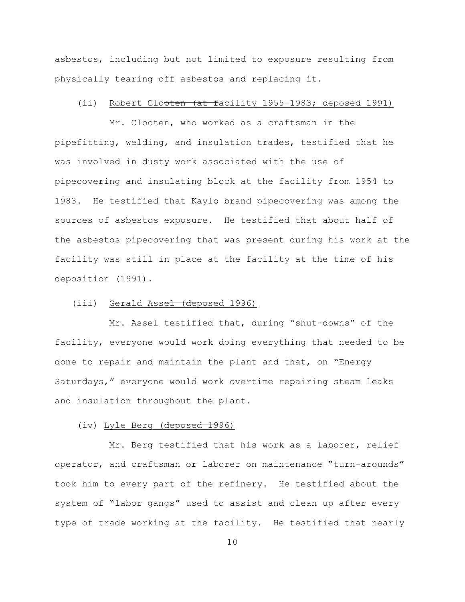asbestos, including but not limited to exposure resulting from physically tearing off asbestos and replacing it.

## (ii) Robert Clooten (at facility 1955-1983; deposed 1991)

Mr. Clooten, who worked as a craftsman in the pipefitting, welding, and insulation trades, testified that he was involved in dusty work associated with the use of pipecovering and insulating block at the facility from 1954 to 1983. He testified that Kaylo brand pipecovering was among the sources of asbestos exposure. He testified that about half of the asbestos pipecovering that was present during his work at the facility was still in place at the facility at the time of his deposition (1991).

## (iii) Gerald Assel (deposed 1996)

Mr. Assel testified that, during "shut-downs" of the facility, everyone would work doing everything that needed to be done to repair and maintain the plant and that, on "Energy Saturdays," everyone would work overtime repairing steam leaks and insulation throughout the plant.

## (iv) Lyle Berg (deposed 1996)

Mr. Berg testified that his work as a laborer, relief operator, and craftsman or laborer on maintenance "turn-arounds" took him to every part of the refinery. He testified about the system of "labor gangs" used to assist and clean up after every type of trade working at the facility. He testified that nearly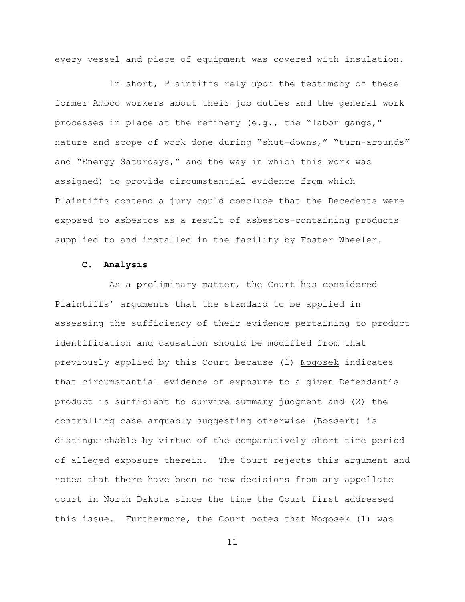every vessel and piece of equipment was covered with insulation.

In short, Plaintiffs rely upon the testimony of these former Amoco workers about their job duties and the general work processes in place at the refinery (e.g., the "labor gangs," nature and scope of work done during "shut-downs," "turn-arounds" and "Energy Saturdays," and the way in which this work was assigned) to provide circumstantial evidence from which Plaintiffs contend a jury could conclude that the Decedents were exposed to asbestos as a result of asbestos-containing products supplied to and installed in the facility by Foster Wheeler.

## **C. Analysis**

As a preliminary matter, the Court has considered Plaintiffs' arguments that the standard to be applied in assessing the sufficiency of their evidence pertaining to product identification and causation should be modified from that previously applied by this Court because (1) Nogosek indicates that circumstantial evidence of exposure to a given Defendant's product is sufficient to survive summary judgment and (2) the controlling case arguably suggesting otherwise (Bossert) is distinguishable by virtue of the comparatively short time period of alleged exposure therein. The Court rejects this argument and notes that there have been no new decisions from any appellate court in North Dakota since the time the Court first addressed this issue. Furthermore, the Court notes that Nogosek (1) was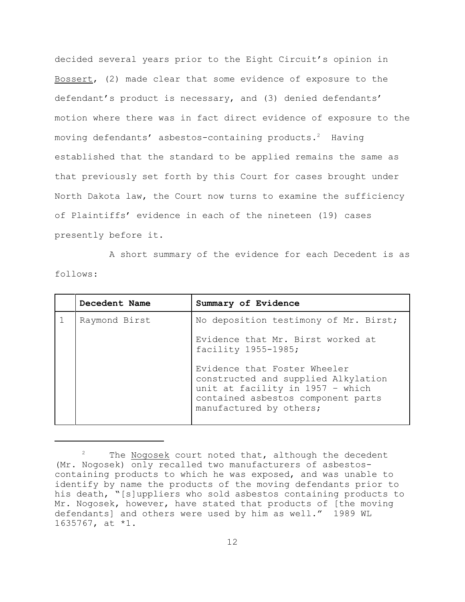decided several years prior to the Eight Circuit's opinion in Bossert, (2) made clear that some evidence of exposure to the defendant's product is necessary, and (3) denied defendants' motion where there was in fact direct evidence of exposure to the moving defendants' asbestos-containing products.<sup>2</sup> Having established that the standard to be applied remains the same as that previously set forth by this Court for cases brought under North Dakota law, the Court now turns to examine the sufficiency of Plaintiffs' evidence in each of the nineteen (19) cases presently before it.

A short summary of the evidence for each Decedent is as follows:

|  | Decedent Name | Summary of Evidence                                                                                                                                                      |  |
|--|---------------|--------------------------------------------------------------------------------------------------------------------------------------------------------------------------|--|
|  | Raymond Birst | No deposition testimony of Mr. Birst;                                                                                                                                    |  |
|  |               | Evidence that Mr. Birst worked at<br>facility 1955-1985;                                                                                                                 |  |
|  |               | Evidence that Foster Wheeler<br>constructed and supplied Alkylation<br>unit at facility in 1957 - which<br>contained asbestos component parts<br>manufactured by others; |  |

 $2^2$  The Nogosek court noted that, although the decedent (Mr. Nogosek) only recalled two manufacturers of asbestoscontaining products to which he was exposed, and was unable to identify by name the products of the moving defendants prior to his death, "[s]uppliers who sold asbestos containing products to Mr. Nogosek, however, have stated that products of [the moving defendants] and others were used by him as well." 1989 WL 1635767, at \*1.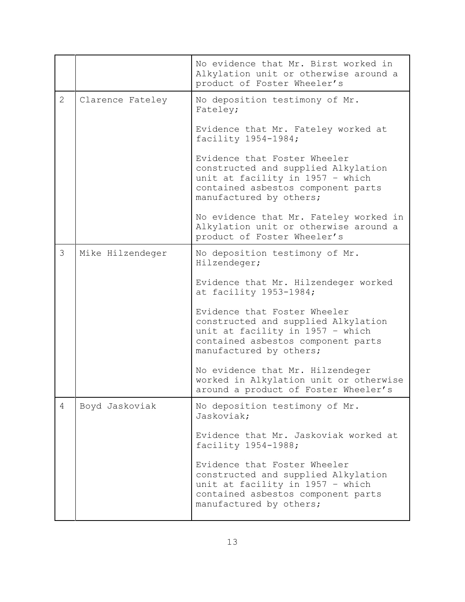|   |                  | No evidence that Mr. Birst worked in<br>Alkylation unit or otherwise around a<br>product of Foster Wheeler's                                                             |  |
|---|------------------|--------------------------------------------------------------------------------------------------------------------------------------------------------------------------|--|
| 2 | Clarence Fateley | No deposition testimony of Mr.<br>Fateley;                                                                                                                               |  |
|   |                  | Evidence that Mr. Fateley worked at<br>facility 1954-1984;                                                                                                               |  |
|   |                  | Evidence that Foster Wheeler<br>constructed and supplied Alkylation<br>unit at facility in 1957 - which<br>contained asbestos component parts<br>manufactured by others; |  |
|   |                  | No evidence that Mr. Fateley worked in<br>Alkylation unit or otherwise around a<br>product of Foster Wheeler's                                                           |  |
| 3 | Mike Hilzendeger | No deposition testimony of Mr.<br>Hilzendeger;                                                                                                                           |  |
|   |                  | Evidence that Mr. Hilzendeger worked<br>at facility 1953-1984;                                                                                                           |  |
|   |                  | Evidence that Foster Wheeler<br>constructed and supplied Alkylation<br>unit at facility in 1957 - which<br>contained asbestos component parts<br>manufactured by others; |  |
|   |                  | No evidence that Mr. Hilzendeger<br>worked in Alkylation unit or otherwise<br>around a product of Foster Wheeler's                                                       |  |
| 4 | Boyd Jaskoviak   | No deposition testimony of Mr.<br>Jaskoviak;                                                                                                                             |  |
|   |                  | Evidence that Mr. Jaskoviak worked at<br>facility 1954-1988;                                                                                                             |  |
|   |                  | Evidence that Foster Wheeler<br>constructed and supplied Alkylation<br>unit at facility in 1957 - which<br>contained asbestos component parts<br>manufactured by others; |  |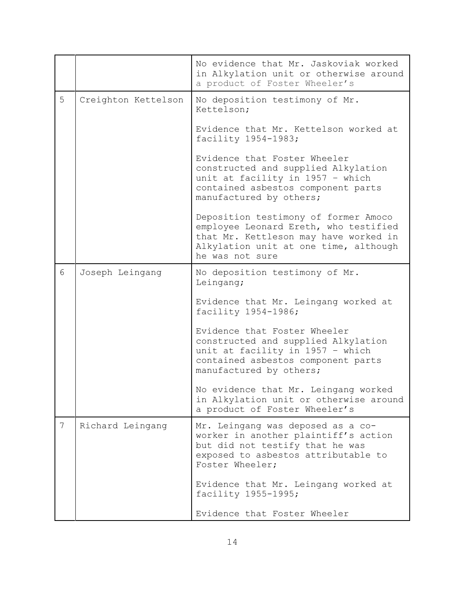|   |                     | No evidence that Mr. Jaskoviak worked<br>in Alkylation unit or otherwise around<br>a product of Foster Wheeler's                                                                   |  |
|---|---------------------|------------------------------------------------------------------------------------------------------------------------------------------------------------------------------------|--|
| 5 | Creighton Kettelson | No deposition testimony of Mr.<br>Kettelson;                                                                                                                                       |  |
|   |                     | Evidence that Mr. Kettelson worked at<br>facility 1954-1983;                                                                                                                       |  |
|   |                     | Evidence that Foster Wheeler<br>constructed and supplied Alkylation<br>unit at facility in 1957 - which<br>contained asbestos component parts<br>manufactured by others;           |  |
|   |                     | Deposition testimony of former Amoco<br>employee Leonard Ereth, who testified<br>that Mr. Kettleson may have worked in<br>Alkylation unit at one time, although<br>he was not sure |  |
| 6 | Joseph Leingang     | No deposition testimony of Mr.<br>Leingang;                                                                                                                                        |  |
|   |                     | Evidence that Mr. Leingang worked at<br>facility 1954-1986;                                                                                                                        |  |
|   |                     | Evidence that Foster Wheeler<br>constructed and supplied Alkylation<br>unit at facility in 1957 - which<br>contained asbestos component parts<br>manufactured by others;           |  |
|   |                     | No evidence that Mr. Leingang worked<br>in Alkylation unit or otherwise around<br>a product of Foster Wheeler's                                                                    |  |
| 7 | Richard Leingang    | Mr. Leingang was deposed as a co-<br>worker in another plaintiff's action<br>but did not testify that he was<br>exposed to asbestos attributable to<br>Foster Wheeler;             |  |
|   |                     | Evidence that Mr. Leingang worked at<br>facility 1955-1995;                                                                                                                        |  |
|   |                     | Evidence that Foster Wheeler                                                                                                                                                       |  |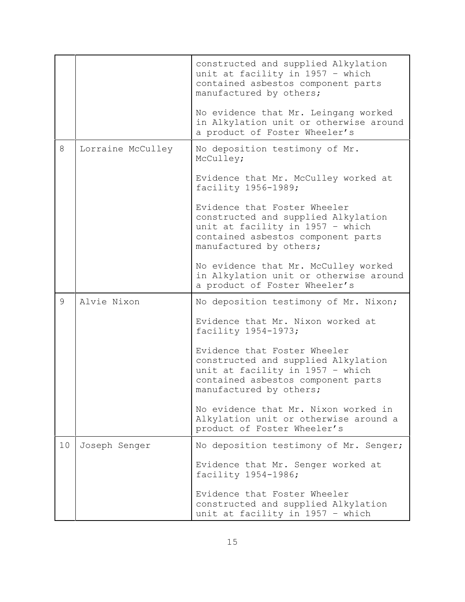|    |                   | constructed and supplied Alkylation<br>unit at facility in 1957 - which<br>contained asbestos component parts<br>manufactured by others;                                 |  |
|----|-------------------|--------------------------------------------------------------------------------------------------------------------------------------------------------------------------|--|
|    |                   | No evidence that Mr. Leingang worked<br>in Alkylation unit or otherwise around<br>a product of Foster Wheeler's                                                          |  |
| 8  | Lorraine McCulley | No deposition testimony of Mr.<br>McCulley;                                                                                                                              |  |
|    |                   | Evidence that Mr. McCulley worked at<br>facility 1956-1989;                                                                                                              |  |
|    |                   | Evidence that Foster Wheeler<br>constructed and supplied Alkylation<br>unit at facility in 1957 - which<br>contained asbestos component parts<br>manufactured by others; |  |
|    |                   | No evidence that Mr. McCulley worked<br>in Alkylation unit or otherwise around<br>a product of Foster Wheeler's                                                          |  |
| 9  | Alvie Nixon       | No deposition testimony of Mr. Nixon;                                                                                                                                    |  |
|    |                   | Evidence that Mr. Nixon worked at<br>facility 1954-1973;                                                                                                                 |  |
|    |                   | Evidence that Foster Wheeler<br>constructed and supplied Alkylation<br>unit at facility in 1957 - which<br>contained asbestos component parts<br>manufactured by others; |  |
|    |                   | No evidence that Mr. Nixon worked in<br>Alkylation unit or otherwise around a<br>product of Foster Wheeler's                                                             |  |
| 10 | Joseph Senger     | No deposition testimony of Mr. Senger;                                                                                                                                   |  |
|    |                   | Evidence that Mr. Senger worked at<br>facility 1954-1986;                                                                                                                |  |
|    |                   | Evidence that Foster Wheeler<br>constructed and supplied Alkylation<br>unit at facility in 1957 - which                                                                  |  |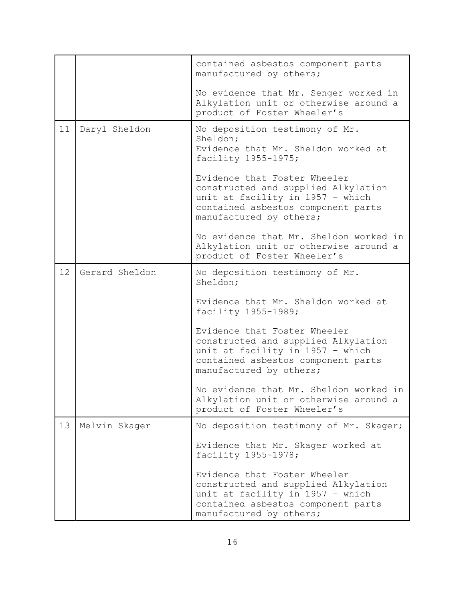|    |                | contained asbestos component parts<br>manufactured by others;                                                                                                            |  |
|----|----------------|--------------------------------------------------------------------------------------------------------------------------------------------------------------------------|--|
|    |                | No evidence that Mr. Senger worked in<br>Alkylation unit or otherwise around a<br>product of Foster Wheeler's                                                            |  |
| 11 | Daryl Sheldon  | No deposition testimony of Mr.<br>Sheldon;<br>Evidence that Mr. Sheldon worked at<br>facility 1955-1975;                                                                 |  |
|    |                | Evidence that Foster Wheeler<br>constructed and supplied Alkylation<br>unit at facility in 1957 - which<br>contained asbestos component parts<br>manufactured by others; |  |
|    |                | No evidence that Mr. Sheldon worked in<br>Alkylation unit or otherwise around a<br>product of Foster Wheeler's                                                           |  |
| 12 | Gerard Sheldon | No deposition testimony of Mr.<br>Sheldon;                                                                                                                               |  |
|    |                | Evidence that Mr. Sheldon worked at<br>facility 1955-1989;                                                                                                               |  |
|    |                | Evidence that Foster Wheeler<br>constructed and supplied Alkylation<br>unit at facility in 1957 - which<br>contained asbestos component parts<br>manufactured by others; |  |
|    |                | No evidence that Mr. Sheldon worked in<br>Alkylation unit or otherwise around a<br>product of Foster Wheeler's                                                           |  |
| 13 | Melvin Skager  | No deposition testimony of Mr. Skager;                                                                                                                                   |  |
|    |                | Evidence that Mr. Skager worked at<br>facility 1955-1978;                                                                                                                |  |
|    |                | Evidence that Foster Wheeler<br>constructed and supplied Alkylation<br>unit at facility in 1957 - which<br>contained asbestos component parts<br>manufactured by others; |  |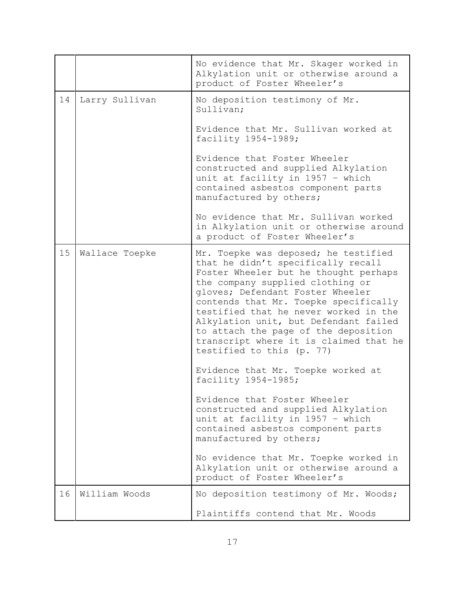|    |                | No evidence that Mr. Skager worked in<br>Alkylation unit or otherwise around a<br>product of Foster Wheeler's                                                                                                                                                                                                                                                                                                                                                                                                                                                             |
|----|----------------|---------------------------------------------------------------------------------------------------------------------------------------------------------------------------------------------------------------------------------------------------------------------------------------------------------------------------------------------------------------------------------------------------------------------------------------------------------------------------------------------------------------------------------------------------------------------------|
| 14 | Larry Sullivan | No deposition testimony of Mr.<br>Sullivan;                                                                                                                                                                                                                                                                                                                                                                                                                                                                                                                               |
|    |                | Evidence that Mr. Sullivan worked at<br>facility 1954-1989;                                                                                                                                                                                                                                                                                                                                                                                                                                                                                                               |
|    |                | Evidence that Foster Wheeler<br>constructed and supplied Alkylation<br>unit at facility in 1957 - which<br>contained asbestos component parts<br>manufactured by others;                                                                                                                                                                                                                                                                                                                                                                                                  |
|    |                | No evidence that Mr. Sullivan worked<br>in Alkylation unit or otherwise around<br>a product of Foster Wheeler's                                                                                                                                                                                                                                                                                                                                                                                                                                                           |
| 15 | Wallace Toepke | Mr. Toepke was deposed; he testified<br>that he didn't specifically recall<br>Foster Wheeler but he thought perhaps<br>the company supplied clothing or<br>gloves; Defendant Foster Wheeler<br>contends that Mr. Toepke specifically<br>testified that he never worked in the<br>Alkylation unit, but Defendant failed<br>to attach the page of the deposition<br>transcript where it is claimed that he<br>testified to this (p. 77)<br>Evidence that Mr. Toepke worked at<br>facility 1954-1985;<br>Evidence that Foster Wheeler<br>constructed and supplied Alkylation |
|    |                | unit at facility in 1957 - which<br>contained asbestos component parts<br>manufactured by others;<br>No evidence that Mr. Toepke worked in<br>Alkylation unit or otherwise around a                                                                                                                                                                                                                                                                                                                                                                                       |
|    |                | product of Foster Wheeler's                                                                                                                                                                                                                                                                                                                                                                                                                                                                                                                                               |
| 16 | William Woods  | No deposition testimony of Mr. Woods;                                                                                                                                                                                                                                                                                                                                                                                                                                                                                                                                     |
|    |                | Plaintiffs contend that Mr. Woods                                                                                                                                                                                                                                                                                                                                                                                                                                                                                                                                         |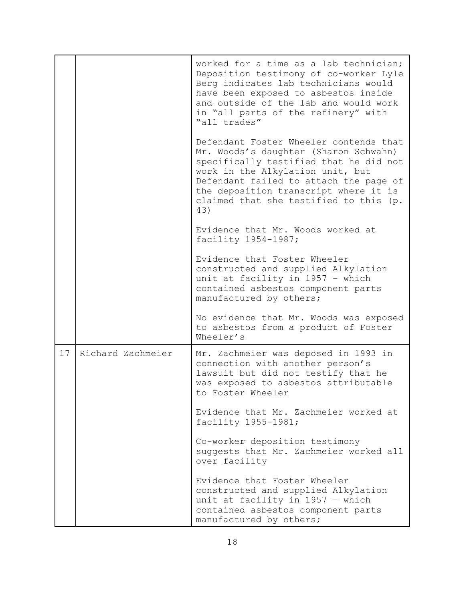|    |                   | worked for a time as a lab technician;<br>Deposition testimony of co-worker Lyle<br>Berg indicates lab technicians would<br>have been exposed to asbestos inside<br>and outside of the lab and would work<br>in "all parts of the refinery" with<br>"all trades"                                  |
|----|-------------------|---------------------------------------------------------------------------------------------------------------------------------------------------------------------------------------------------------------------------------------------------------------------------------------------------|
|    |                   | Defendant Foster Wheeler contends that<br>Mr. Woods's daughter (Sharon Schwahn)<br>specifically testified that he did not<br>work in the Alkylation unit, but<br>Defendant failed to attach the page of<br>the deposition transcript where it is<br>claimed that she testified to this (p.<br>43) |
|    |                   | Evidence that Mr. Woods worked at<br>facility 1954-1987;                                                                                                                                                                                                                                          |
|    |                   | Evidence that Foster Wheeler<br>constructed and supplied Alkylation<br>unit at facility in 1957 - which<br>contained asbestos component parts<br>manufactured by others;                                                                                                                          |
|    |                   | No evidence that Mr. Woods was exposed<br>to asbestos from a product of Foster<br>Wheeler's                                                                                                                                                                                                       |
| 17 | Richard Zachmeier | Mr. Zachmeier was deposed in 1993 in<br>connection with another person's<br>lawsuit but did not testify that he<br>was exposed to asbestos attributable<br>to Foster Wheeler                                                                                                                      |
|    |                   | Evidence that Mr. Zachmeier worked at<br>facility 1955-1981;                                                                                                                                                                                                                                      |
|    |                   | Co-worker deposition testimony<br>suggests that Mr. Zachmeier worked all<br>over facility                                                                                                                                                                                                         |
|    |                   | Evidence that Foster Wheeler<br>constructed and supplied Alkylation<br>unit at facility in 1957 - which<br>contained asbestos component parts<br>manufactured by others;                                                                                                                          |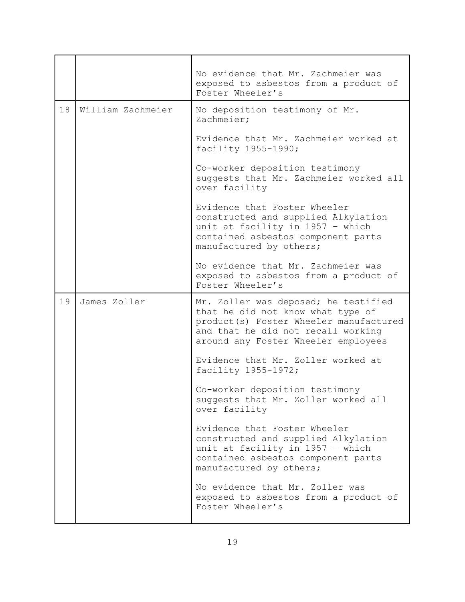|    |                   | No evidence that Mr. Zachmeier was<br>exposed to asbestos from a product of<br>Foster Wheeler's                                                                                                   |  |
|----|-------------------|---------------------------------------------------------------------------------------------------------------------------------------------------------------------------------------------------|--|
| 18 | William Zachmeier | No deposition testimony of Mr.<br>Zachmeier;                                                                                                                                                      |  |
|    |                   | Evidence that Mr. Zachmeier worked at<br>facility 1955-1990;                                                                                                                                      |  |
|    |                   | Co-worker deposition testimony<br>suggests that Mr. Zachmeier worked all<br>over facility                                                                                                         |  |
|    |                   | Evidence that Foster Wheeler<br>constructed and supplied Alkylation<br>unit at facility in 1957 - which<br>contained asbestos component parts<br>manufactured by others;                          |  |
|    |                   | No evidence that Mr. Zachmeier was<br>exposed to asbestos from a product of<br>Foster Wheeler's                                                                                                   |  |
| 19 | James Zoller      | Mr. Zoller was deposed; he testified<br>that he did not know what type of<br>product (s) Foster Wheeler manufactured<br>and that he did not recall working<br>around any Foster Wheeler employees |  |
|    |                   | Evidence that Mr. Zoller worked at<br>facility 1955-1972;                                                                                                                                         |  |
|    |                   | Co-worker deposition testimony<br>suggests that Mr. Zoller worked all<br>over facility                                                                                                            |  |
|    |                   | Evidence that Foster Wheeler<br>constructed and supplied Alkylation<br>unit at facility in 1957 - which<br>contained asbestos component parts<br>manufactured by others;                          |  |
|    |                   | No evidence that Mr. Zoller was<br>exposed to asbestos from a product of<br>Foster Wheeler's                                                                                                      |  |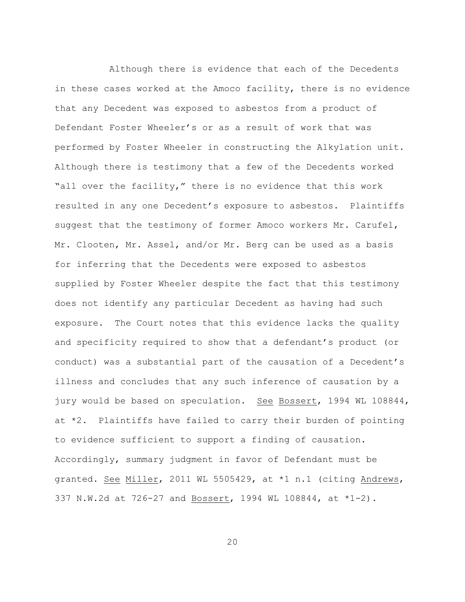Although there is evidence that each of the Decedents in these cases worked at the Amoco facility, there is no evidence that any Decedent was exposed to asbestos from a product of Defendant Foster Wheeler's or as a result of work that was performed by Foster Wheeler in constructing the Alkylation unit. Although there is testimony that a few of the Decedents worked "all over the facility," there is no evidence that this work resulted in any one Decedent's exposure to asbestos. Plaintiffs suggest that the testimony of former Amoco workers Mr. Carufel, Mr. Clooten, Mr. Assel, and/or Mr. Berg can be used as a basis for inferring that the Decedents were exposed to asbestos supplied by Foster Wheeler despite the fact that this testimony does not identify any particular Decedent as having had such exposure. The Court notes that this evidence lacks the quality and specificity required to show that a defendant's product (or conduct) was a substantial part of the causation of a Decedent's illness and concludes that any such inference of causation by a jury would be based on speculation. See Bossert, 1994 WL 108844, at \*2. Plaintiffs have failed to carry their burden of pointing to evidence sufficient to support a finding of causation. Accordingly, summary judgment in favor of Defendant must be granted. See Miller, 2011 WL 5505429, at \*1 n.1 (citing Andrews, 337 N.W.2d at 726-27 and Bossert, 1994 WL 108844, at \*1-2).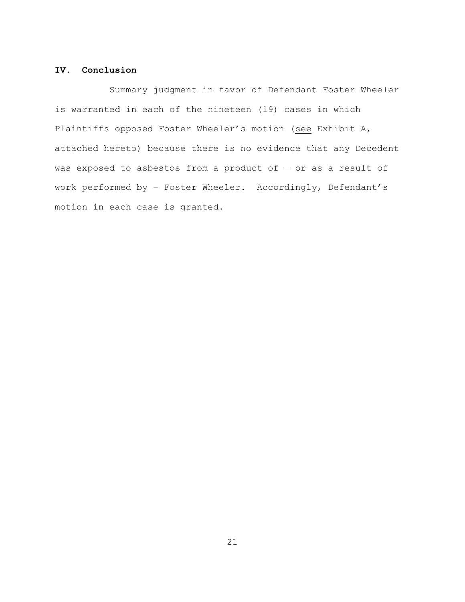## **IV. Conclusion**

Summary judgment in favor of Defendant Foster Wheeler is warranted in each of the nineteen (19) cases in which Plaintiffs opposed Foster Wheeler's motion (see Exhibit A, attached hereto) because there is no evidence that any Decedent was exposed to asbestos from a product of – or as a result of work performed by – Foster Wheeler. Accordingly, Defendant's motion in each case is granted.